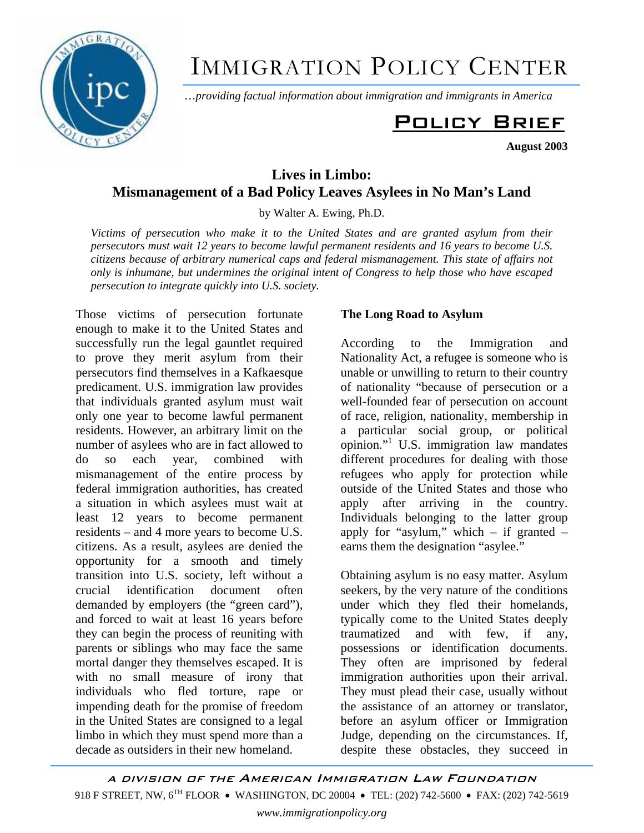

# IMMIGRATION POLICY CENTER

…*providing factual information about immigration and immigrants in America*

## Policy Brief

**August 2003** 

### **Lives in Limbo: Mismanagement of a Bad Policy Leaves Asylees in No Man's Land**

by Walter A. Ewing, Ph.D.

*Victims of persecution who make it to the United States and are granted asylum from their persecutors must wait 12 years to become lawful permanent residents and 16 years to become U.S. citizens because of arbitrary numerical caps and federal mismanagement. This state of affairs not only is inhumane, but undermines the original intent of Congress to help those who have escaped persecution to integrate quickly into U.S. society.* 

Those victims of persecution fortunate enough to make it to the United States and successfully run the legal gauntlet required to prove they merit asylum from their persecutors find themselves in a Kafkaesque predicament. U.S. immigration law provides that individuals granted asylum must wait only one year to become lawful permanent residents. However, an arbitrary limit on the number of asylees who are in fact allowed to do so each year, combined with mismanagement of the entire process by federal immigration authorities, has created a situation in which asylees must wait at least 12 years to become permanent residents – and 4 more years to become U.S. citizens. As a result, asylees are denied the opportunity for a smooth and timely transition into U.S. society, left without a crucial identification document often demanded by employers (the "green card"), and forced to wait at least 16 years before they can begin the process of reuniting with parents or siblings who may face the same mortal danger they themselves escaped. It is with no small measure of irony that individuals who fled torture, rape or impending death for the promise of freedom in the United States are consigned to a legal limbo in which they must spend more than a decade as outsiders in their new homeland.

#### **The Long Road to Asylum**

According to the Immigration and Nationality Act, a refugee is someone who is unable or unwilling to return to their country of nationality "because of persecution or a well-founded fear of persecution on account of race, religion, nationality, membership in a particular social group, or political opinion."1 U.S. immigration law mandates different procedures for dealing with those refugees who apply for protection while outside of the United States and those who apply after arriving in the country. Individuals belonging to the latter group apply for "asylum," which  $-$  if granted  $$ earns them the designation "asylee."

Obtaining asylum is no easy matter. Asylum seekers, by the very nature of the conditions under which they fled their homelands, typically come to the United States deeply traumatized and with few, if any, possessions or identification documents. They often are imprisoned by federal immigration authorities upon their arrival. They must plead their case, usually without the assistance of an attorney or translator, before an asylum officer or Immigration Judge, depending on the circumstances. If, despite these obstacles, they succeed in

A DIVISION OF THE AMERICAN IMMIGRATION LAW FOUNDATION 918 F STREET, NW, 6<sup>TH</sup> FLOOR • WASHINGTON, DC 20004 • TEL: (202) 742-5600 • FAX: (202) 742-5619 *www.immigrationpolicy.org*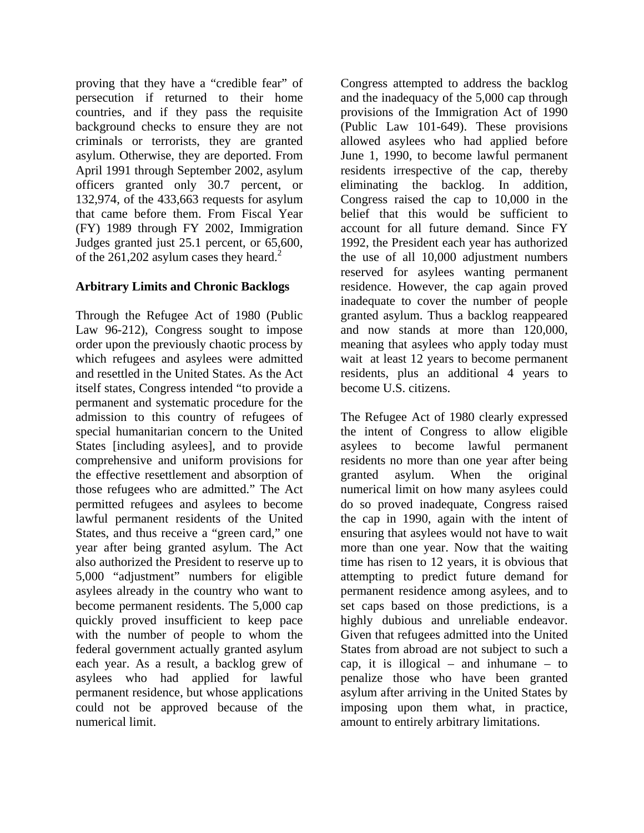proving that they have a "credible fear" of persecution if returned to their home countries, and if they pass the requisite background checks to ensure they are not criminals or terrorists, they are granted asylum. Otherwise, they are deported. From April 1991 through September 2002, asylum officers granted only 30.7 percent, or 132,974, of the 433,663 requests for asylum that came before them. From Fiscal Year (FY) 1989 through FY 2002, Immigration Judges granted just 25.1 percent, or 65,600, of the  $261,202$  asylum cases they heard.<sup>2</sup>

#### **Arbitrary Limits and Chronic Backlogs**

Through the Refugee Act of 1980 (Public Law 96-212), Congress sought to impose order upon the previously chaotic process by which refugees and asylees were admitted and resettled in the United States. As the Act itself states, Congress intended "to provide a permanent and systematic procedure for the admission to this country of refugees of special humanitarian concern to the United States [including asylees], and to provide comprehensive and uniform provisions for the effective resettlement and absorption of those refugees who are admitted." The Act permitted refugees and asylees to become lawful permanent residents of the United States, and thus receive a "green card," one year after being granted asylum. The Act also authorized the President to reserve up to 5,000 "adjustment" numbers for eligible asylees already in the country who want to become permanent residents. The 5,000 cap quickly proved insufficient to keep pace with the number of people to whom the federal government actually granted asylum each year. As a result, a backlog grew of asylees who had applied for lawful permanent residence, but whose applications could not be approved because of the numerical limit.

Congress attempted to address the backlog and the inadequacy of the 5,000 cap through provisions of the Immigration Act of 1990 (Public Law 101-649). These provisions allowed asylees who had applied before June 1, 1990, to become lawful permanent residents irrespective of the cap, thereby eliminating the backlog. In addition, Congress raised the cap to 10,000 in the belief that this would be sufficient to account for all future demand. Since FY 1992, the President each year has authorized the use of all 10,000 adjustment numbers reserved for asylees wanting permanent residence. However, the cap again proved inadequate to cover the number of people granted asylum. Thus a backlog reappeared and now stands at more than 120,000, meaning that asylees who apply today must wait at least 12 years to become permanent residents, plus an additional 4 years to become U.S. citizens.

The Refugee Act of 1980 clearly expressed the intent of Congress to allow eligible asylees to become lawful permanent residents no more than one year after being granted asylum. When the original numerical limit on how many asylees could do so proved inadequate, Congress raised the cap in 1990, again with the intent of ensuring that asylees would not have to wait more than one year. Now that the waiting time has risen to 12 years, it is obvious that attempting to predict future demand for permanent residence among asylees, and to set caps based on those predictions, is a highly dubious and unreliable endeavor. Given that refugees admitted into the United States from abroad are not subject to such a cap, it is illogical – and inhumane – to penalize those who have been granted asylum after arriving in the United States by imposing upon them what, in practice, amount to entirely arbitrary limitations.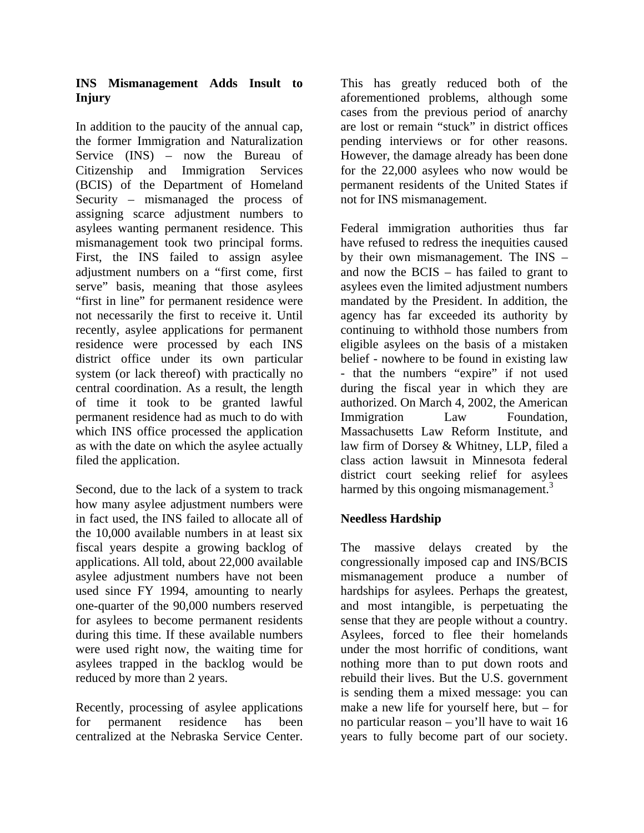#### **INS Mismanagement Adds Insult to Injury**

In addition to the paucity of the annual cap, the former Immigration and Naturalization Service (INS) – now the Bureau of Citizenship and Immigration Services (BCIS) of the Department of Homeland Security – mismanaged the process of assigning scarce adjustment numbers to asylees wanting permanent residence. This mismanagement took two principal forms. First, the INS failed to assign asylee adjustment numbers on a "first come, first serve" basis, meaning that those asylees "first in line" for permanent residence were not necessarily the first to receive it. Until recently, asylee applications for permanent residence were processed by each INS district office under its own particular system (or lack thereof) with practically no central coordination. As a result, the length of time it took to be granted lawful permanent residence had as much to do with which INS office processed the application as with the date on which the asylee actually filed the application.

Second, due to the lack of a system to track how many asylee adjustment numbers were in fact used, the INS failed to allocate all of the 10,000 available numbers in at least six fiscal years despite a growing backlog of applications. All told, about 22,000 available asylee adjustment numbers have not been used since FY 1994, amounting to nearly one-quarter of the 90,000 numbers reserved for asylees to become permanent residents during this time. If these available numbers were used right now, the waiting time for asylees trapped in the backlog would be reduced by more than 2 years.

Recently, processing of asylee applications for permanent residence has been centralized at the Nebraska Service Center.

This has greatly reduced both of the aforementioned problems, although some cases from the previous period of anarchy are lost or remain "stuck" in district offices pending interviews or for other reasons. However, the damage already has been done for the 22,000 asylees who now would be permanent residents of the United States if not for INS mismanagement.

Federal immigration authorities thus far have refused to redress the inequities caused by their own mismanagement. The INS – and now the BCIS – has failed to grant to asylees even the limited adjustment numbers mandated by the President. In addition, the agency has far exceeded its authority by continuing to withhold those numbers from eligible asylees on the basis of a mistaken belief - nowhere to be found in existing law - that the numbers "expire" if not used during the fiscal year in which they are authorized. On March 4, 2002, the American Immigration Law Foundation, Massachusetts Law Reform Institute, and law firm of Dorsey & Whitney, LLP, filed a class action lawsuit in Minnesota federal district court seeking relief for asylees harmed by this ongoing mismanagement.<sup>3</sup>

#### **Needless Hardship**

The massive delays created by the congressionally imposed cap and INS/BCIS mismanagement produce a number of hardships for asylees. Perhaps the greatest, and most intangible, is perpetuating the sense that they are people without a country. Asylees, forced to flee their homelands under the most horrific of conditions, want nothing more than to put down roots and rebuild their lives. But the U.S. government is sending them a mixed message: you can make a new life for yourself here, but – for no particular reason – you'll have to wait 16 years to fully become part of our society.